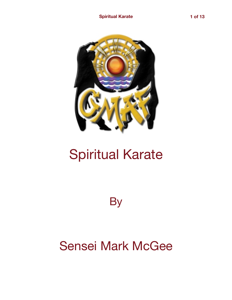

# Spiritual Karate

**By** 

# Sensei Mark McGee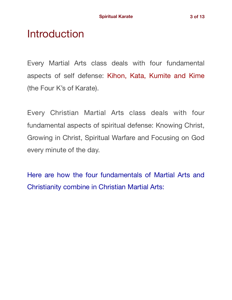### **Introduction**

Every Martial Arts class deals with four fundamental aspects of self defense: Kihon, Kata, Kumite and Kime (the Four K's of Karate).

Every Christian Martial Arts class deals with four fundamental aspects of spiritual defense: Knowing Christ, Growing in Christ, Spiritual Warfare and Focusing on God every minute of the day.

Here are how the four fundamentals of Martial Arts and Christianity combine in Christian Martial Arts: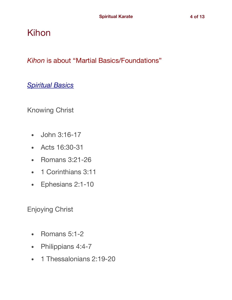### Kihon

*Kihon* is about "Martial Basics/Foundations"

*Spiritual Basics* 

Knowing Christ

- John 3:16-17
- Acts 16:30-31
- Romans 3:21-26
- 1 Corinthians 3:11
- Ephesians 2:1-10

Enjoying Christ

- Romans 5:1-2
- Philippians 4:4-7
- 1 Thessalonians 2:19-20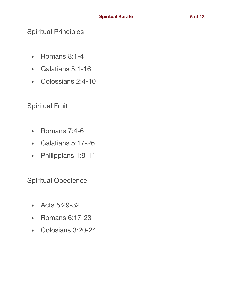#### Spiritual Principles

- Romans 8:1-4
- Galatians 5:1-16
- Colossians 2:4-10

#### Spiritual Fruit

- Romans 7:4-6
- Galatians 5:17-26
- Philippians 1:9-11

Spiritual Obedience

- Acts 5:29-32
- Romans 6:17-23
- Colosians 3:20-24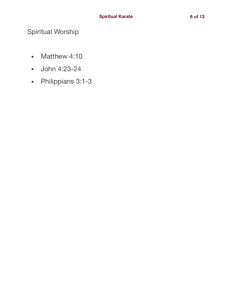#### Spiritual Worship

- Matthew 4:10
- John 4:23-24
- Philippians 3:1-3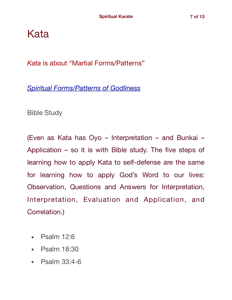Kata

*Kata* is about "Martial Forms/Patterns"

*Spiritual Forms/Patterns of Godliness*

Bible Study

(Even as Kata has Oyo – Interpretation – and Bunkai – Application – so it is with Bible study. The five steps of learning how to apply Kata to self-defense are the same for learning how to apply God's Word to our lives: Observation, Questions and Answers for Interpretation, Interpretation, Evaluation and Application, and Correlation.)

- Psalm 12:6
- Psalm 18:30
- Psalm 33:4-6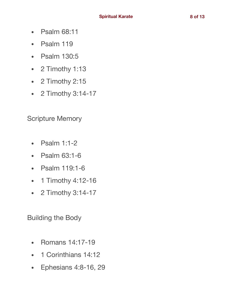- Psalm 68:11
- Psalm 119
- Psalm 130:5
- 2 Timothy 1:13
- 2 Timothy 2:15
- 2 Timothy 3:14-17

Scripture Memory

- Psalm 1:1-2
- Psalm 63:1-6
- Psalm 119:1-6
- 1 Timothy 4:12-16
- 2 Timothy 3:14-17

Building the Body

- Romans 14:17-19
- 1 Corinthians 14:12
- Ephesians 4:8-16, 29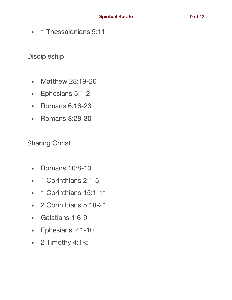• 1 Thessalonians 5:11

Discipleship

- Matthew 28:19-20
- Ephesians 5:1-2
- Romans 6:16-23
- Romans 8:28-30

Sharing Christ

- Romans 10:8-13
- 1 Corinthians 2:1-5
- 1 Corinthians 15:1-11
- 2 Corinthians 5:18-21
- Galatians 1:6-9
- Ephesians 2:1-10
- 2 Timothy 4:1-5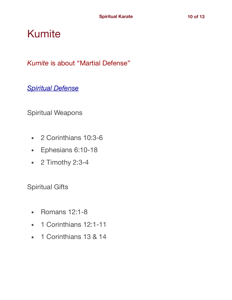## Kumite

*Kumite* is about "Martial Defense"

*Spiritual Defense* 

Spiritual Weapons

- 2 Corinthians 10:3-6
- Ephesians 6:10-18
- 2 Timothy 2:3-4

Spiritual Gifts

- Romans 12:1-8
- 1 Corinthians 12:1-11
- 1 Corinthians 13 & 14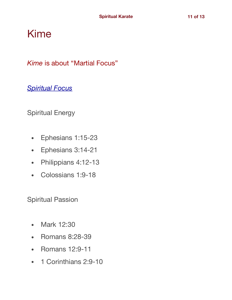## Kime

*Kime* is about "Martial Focus"

#### *Spiritual Focus*

Spiritual Energy

- Ephesians 1:15-23
- Ephesians 3:14-21
- Philippians 4:12-13
- Colossians 1:9-18

Spiritual Passion

- Mark 12:30
- Romans 8:28-39
- Romans 12:9-11
- 1 Corinthians 2:9-10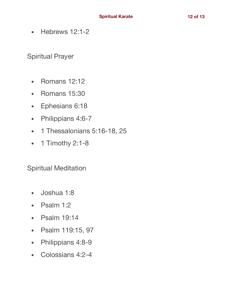• Hebrews 12:1-2

Spiritual Prayer

- Romans 12:12
- Romans 15:30
- Ephesians 6:18
- Philippians 4:6-7
- 1 Thessalonians 5:16-18, 25
- 1 Timothy 2:1-8

Spiritual Meditation

- Joshua 1:8
- Psalm 1:2
- Psalm 19:14
- Psalm 119:15, 97
- Philippians 4:8-9
- Colossians 4:2-4